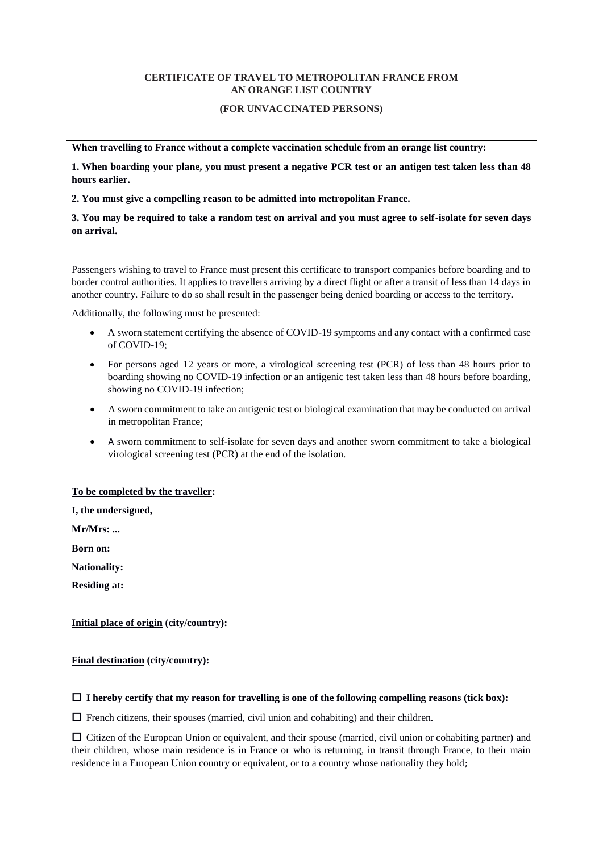## **CERTIFICATE OF TRAVEL TO METROPOLITAN FRANCE FROM AN ORANGE LIST COUNTRY**

## **(FOR UNVACCINATED PERSONS)**

**When travelling to France without a complete vaccination schedule from an orange list country:**

**1. When boarding your plane, you must present a negative PCR test or an antigen test taken less than 48 hours earlier.**

**2. You must give a compelling reason to be admitted into metropolitan France.**

**3. You may be required to take a random test on arrival and you must agree to self-isolate for seven days on arrival.**

Passengers wishing to travel to France must present this certificate to transport companies before boarding and to border control authorities. It applies to travellers arriving by a direct flight or after a transit of less than 14 days in another country. Failure to do so shall result in the passenger being denied boarding or access to the territory.

Additionally, the following must be presented:

- A sworn statement certifying the absence of COVID-19 symptoms and any contact with a confirmed case of COVID-19;
- For persons aged 12 years or more, a virological screening test (PCR) of less than 48 hours prior to boarding showing no COVID-19 infection or an antigenic test taken less than 48 hours before boarding, showing no COVID-19 infection;
- A sworn commitment to take an antigenic test or biological examination that may be conducted on arrival in metropolitan France;
- A sworn commitment to self-isolate for seven days and another sworn commitment to take a biological virological screening test (PCR) at the end of the isolation.

## **To be completed by the traveller:**

**I, the undersigned,**

**Mr/Mrs: ...**

**Born on:**

**Nationality:**

**Residing at:**

**Initial place of origin (city/country):**

**Final destination (city/country):**

## **I hereby certify that my reason for travelling is one of the following compelling reasons (tick box):**

 $\Box$  French citizens, their spouses (married, civil union and cohabiting) and their children.

 Citizen of the European Union or equivalent, and their spouse (married, civil union or cohabiting partner) and their children, whose main residence is in France or who is returning, in transit through France, to their main residence in a European Union country or equivalent, or to a country whose nationality they hold;